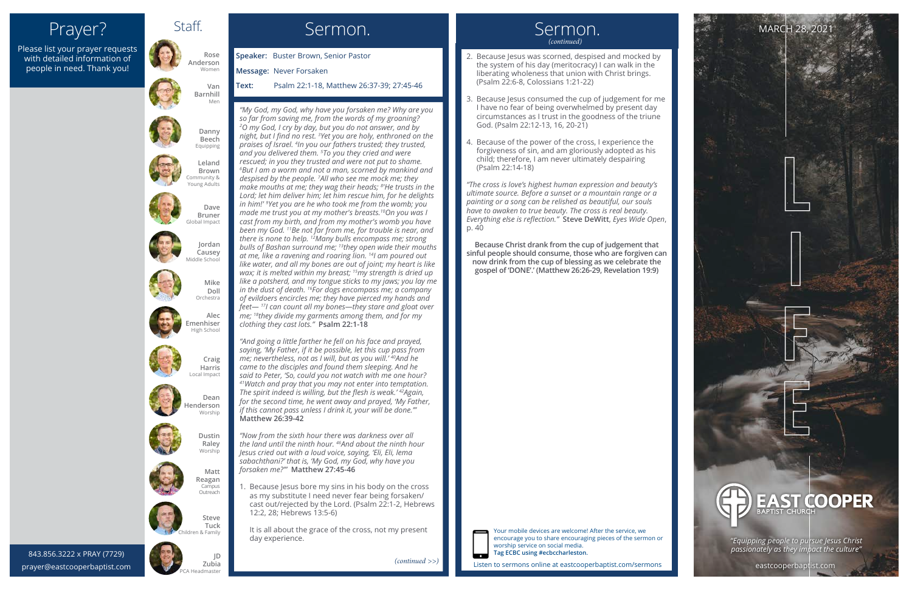Staff.

## Prayer?

843.856.3222 x PRAY (7729) 843.856.3222 x PRAY (7729) prayer@eastcooperbaptist.com



Please list your prayer requests with detailed information of people in need. Thank you!

#### Sermon.



Listen to sermons online at eastcooperbaptist.com/sermons

- 2. Because Jesus was scorned, despised and mocked by the system of his day (meritocracy) I can walk in the liberating wholeness that union with Christ brings. (Psalm 22:6-8, Colossians 1:21-22)
- 3. Because Jesus consumed the cup of judgement for me I have no fear of being overwhelmed by present day circumstances as I trust in the goodness of the triune God. (Psalm 22:12-13, 16, 20-21)
- 4. Because of the power of the cross, I experience the forgiveness of sin, and am gloriously adopted as his child; therefore, I am never ultimately despairing (Psalm 22:14-18)

*"The cross is love's highest human expression and beauty's ultimate source. Before a sunset or a mountain range or a painting or a song can be relished as beautiful, our souls have to awaken to true beauty. The cross is real beauty. Everything else is reflection."* **Steve DeWitt**, *Eyes Wide Open*, p. 40

**Because Christ drank from the cup of judgement that sinful people should consume, those who are forgiven can now drink from the cup of blessing as we celebrate the gospel of 'DONE'.' (Matthew 26:26-29, Revelation 19:9)**

*"My God, my God, why have you forsaken me? Why are you so far from saving me, from the words of my groaning? 2 O my God, I cry by day, but you do not answer, and by night, but I find no rest. <sup>3</sup> Yet you are holy, enthroned on the praises of Israel. 4 In you our fathers trusted; they trusted, and you delivered them. 5 To you they cried and were rescued; in you they trusted and were not put to shame. 6 But I am a worm and not a man, scorned by mankind and despised by the people. 7 All who see me mock me; they make mouths at me; they wag their heads; 8 'He trusts in the Lord; let him deliver him; let him rescue him, for he delights in him!' 9 Yet you are he who took me from the womb; you made me trust you at my mother's breasts.10On you was I cast from my birth, and from my mother's womb you have been my God. 11Be not far from me, for trouble is near, and there is none to help. 12Many bulls encompass me; strong bulls of Bashan surround me; 13they open wide their mouths at me, like a ravening and roaring lion. 14I am poured out like water, and all my bones are out of joint; my heart is like wax; it is melted within my breast; 15my strength is dried up like a potsherd, and my tongue sticks to my jaws; you lay me in the dust of death. 16For dogs encompass me; a company of evildoers encircles me; they have pierced my hands and feet— 17I can count all my bones—they stare and gloat over me; 18they divide my garments among them, and for my clothing they cast lots."* **Psalm 22:1-18**

*"And going a little farther he fell on his face and prayed, saying, 'My Father, if it be possible, let this cup pass from me; nevertheless, not as I will, but as you will.' 40And he came to the disciples and found them sleeping. And he said to Peter, 'So, could you not watch with me one hour? 41Watch and pray that you may not enter into temptation. The spirit indeed is willing, but the flesh is weak.' 42Again, for the second time, he went away and prayed, 'My Father, if this cannot pass unless I drink it, your will be done.'"* **Matthew 26:39-42**

*"Now from the sixth hour there was darkness over all the land until the ninth hour. 46And about the ninth hour Jesus cried out with a loud voice, saying, 'Eli, Eli, lema sabachthani?' that is, 'My God, my God, why have you forsaken me?'"* **Matthew 27:45-46**

1. Because Jesus bore my sins in his body on the cross as my substitute I need never fear being forsaken/ cast out/rejected by the Lord. (Psalm 22:1-2, Hebrews 12:2, 28; Hebrews 13:5-6)

It is all about the grace of the cross, not my present day experience.

**Speaker:** Buster Brown, Senior Pastor **Message:** Never Forsaken

**Text:** Psalm 22:1-18, Matthew 26:37-39; 27:45-46



eastcooperbaptist.com

**JD**





Your mobile devices are welcome! After the service, we encourage you to share encouraging pieces of the sermon or worship service on social media. **Tag ECBC using #ecbccharleston.**